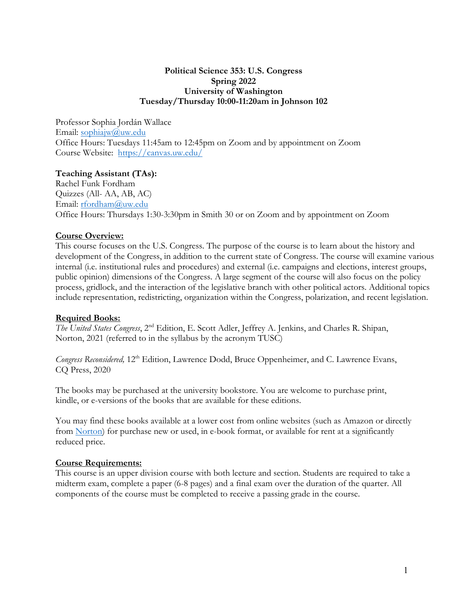#### **Spring 2022 Political Science 353: U.S. Congress University of Washington Tuesday/Thursday 10:00-11:20am in Johnson 102**

 Professor Sophia Jordán Wallace Email: sophiajw@uw.edu Email: <u>sophiajw@uw.edu</u><br>Office Hours: Tuesdays 11:45am to 12:45pm on Zoom and by appointment on Zoom . Course Website: <https://canvas.uw.edu>/

# **Teaching Assistant (TAs):**

Email: rfordham@uw.edu Email: <u>rfordham@uw.edu</u><br>Office Hours: Thursdays 1:30-3:30pm in Smith 30 or on Zoom and by appointment on Zoom Rachel Funk Fordham Quizzes (All- AA, AB, AC)

# **Course Overview:**

 public opinion) dimensions of the Congress. A large segment of the course will also focus on the policy process, gridlock, and the interaction of the legislative branch with other political actors. Additional topics include representation, redistricting, organization within the Congress, polarization, and recent legislation. This course focuses on the U.S. Congress. The purpose of the course is to learn about the history and development of the Congress, in addition to the current state of Congress. The course will examine various internal (i.e. institutional rules and procedures) and external (i.e. campaigns and elections, interest groups,

#### **Required Books:**

*The United States Congress*, 2nd Edition, E. Scott Adler, Jeffrey A. Jenkins, and Charles R. Shipan, Norton, 2021 (referred to in the syllabus by the acronym TUSC)

 CQ Press, 2020 *Congress Reconsidered,* 12<sup>th</sup> Edition, Lawrence Dodd, Bruce Oppenheimer, and C. Lawrence Evans,

 kindle, or e-versions of the books that are available for these editions. The books may be purchased at the university bookstore. You are welcome to purchase print,

 You may find these books available at a lower cost from online websites (such as Amazon or directly from Norton) for purchase new or used, in e-book format, or available for rent at a significantly reduced price.

# **Course Requirements:**

 midterm exam, complete a paper (6-8 pages) and a final exam over the duration of the quarter. All components of the course must be completed to receive a passing grade in the course. This course is an upper division course with both lecture and section. Students are required to take a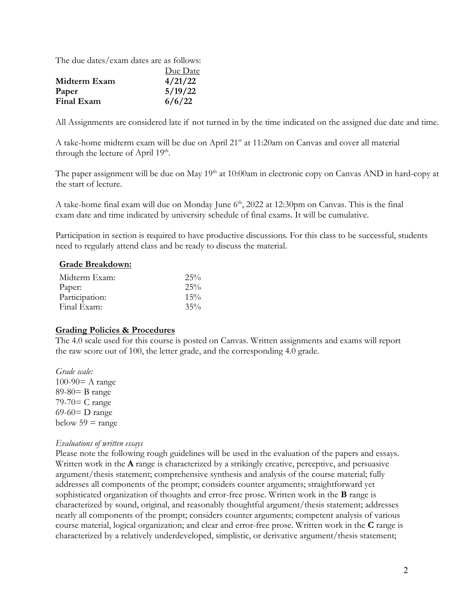The due dates/exam dates are as follows:

|              | Due Date |
|--------------|----------|
| Midterm Exam | 4/21/22  |
| Paper        | 5/19/22  |
| Final Exam   | 6/6/22   |

All Assignments are considered late if not turned in by the time indicated on the assigned due date and time.

A take-home midterm exam will be due on April 21<sup>st</sup> at 11:20am on Canvas and cover all material through the lecture of April 19<sup>th</sup>.

The paper assignment will be due on May 19<sup>th</sup> at 10:00am in electronic copy on Canvas AND in hard-copy at the start of lecture.

the start of lecture.<br>A take-home final exam will due on Monday June 6<sup>th</sup>, 2022 at 12:30pm on Canvas. This is the final exam date and time indicated by university schedule of final exams. It will be cumulative.

Participation in section is required to have productive discussions. For this class to be successful, students need to regularly attend class and be ready to discuss the material.

#### **Grade Breakdown:**

| Midterm Exam:  | 25%    |
|----------------|--------|
| Paper:         | 25%    |
| Participation: | $15\%$ |
| Final Exam:    | 35%    |

#### **Grading Policies & Procedures**

 the raw score out of 100, the letter grade, and the corresponding 4.0 grade. The 4.0 scale used for this course is posted on Canvas. Written assignments and exams will report

 *Grade scale:*  $100-90=$  A range 89-80= B range 79-70= C range 69-60= D range below  $59 = \text{range}$ 

#### *Evaluations of written essays*

 Written work in the **A** range is characterized by a strikingly creative, perceptive, and persuasive sophisticated organization of thoughts and error-free prose. Written work in the **B** range is course material, logical organization; and clear and error-free prose. Written work in the **C** range is Please note the following rough guidelines will be used in the evaluation of the papers and essays. argument/thesis statement; comprehensive synthesis and analysis of the course material; fully addresses all components of the prompt; considers counter arguments; straightforward yet characterized by sound, original, and reasonably thoughtful argument/thesis statement; addresses nearly all components of the prompt; considers counter arguments; competent analysis of various characterized by a relatively underdeveloped, simplistic, or derivative argument/thesis statement;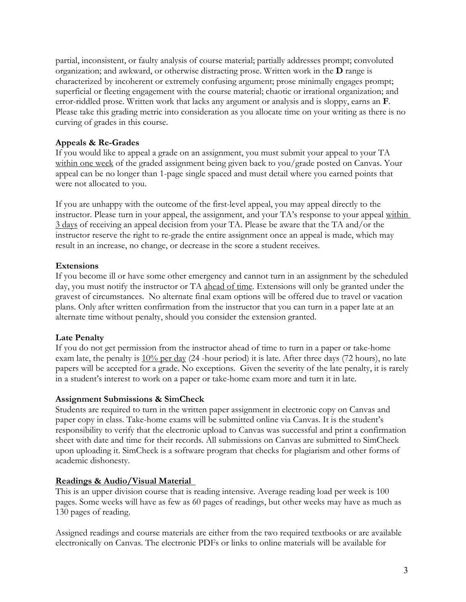organization; and awkward, or otherwise distracting prose. Written work in the **D** range is curving of grades in this course. partial, inconsistent, or faulty analysis of course material; partially addresses prompt; convoluted characterized by incoherent or extremely confusing argument; prose minimally engages prompt; superficial or fleeting engagement with the course material; chaotic or irrational organization; and error-riddled prose. Written work that lacks any argument or analysis and is sloppy, earns an **F**. Please take this grading metric into consideration as you allocate time on your writing as there is no

#### **Appeals & Re-Grades**

 appeal can be no longer than 1-page single spaced and must detail where you earned points that were not allocated to you. If you would like to appeal a grade on an assignment, you must submit your appeal to your TA within one week of the graded assignment being given back to you/grade posted on Canvas. Your

If you are unhappy with the outcome of the first-level appeal, you may appeal directly to the instructor. Please turn in your appeal, the assignment, and your TA's response to your appeal within 3 days of receiving an appeal decision from your TA. Please be aware that the TA and/or the instructor reserve the right to re-grade the entire assignment once an appeal is made, which may result in an increase, no change, or decrease in the score a student receives.

#### **Extensions**

 If you become ill or have some other emergency and cannot turn in an assignment by the scheduled alternate time without penalty, should you consider the extension granted. day, you must notify the instructor or TA ahead of time. Extensions will only be granted under the gravest of circumstances. No alternate final exam options will be offered due to travel or vacation plans. Only after written confirmation from the instructor that you can turn in a paper late at an

#### **Late Penalty**

exam late, the penalty is  $10\%$  per day (24 -hour period) it is late. After three days (72 hours), no late If you do not get permission from the instructor ahead of time to turn in a paper or take-home papers will be accepted for a grade. No exceptions. Given the severity of the late penalty, it is rarely in a student's interest to work on a paper or take-home exam more and turn it in late.

#### **Assignment Submissions & SimCheck**

 Students are required to turn in the written paper assignment in electronic copy on Canvas and paper copy in class. Take-home exams will be submitted online via Canvas. It is the student's responsibility to verify that the electronic upload to Canvas was successful and print a confirmation academic dishonesty. sheet with date and time for their records. All submissions on Canvas are submitted to SimCheck upon uploading it. SimCheck is a software program that checks for plagiarism and other forms of

#### **Readings & Audio/Visual Material**

130 pages of reading. This is an upper division course that is reading intensive. Average reading load per week is 100 pages. Some weeks will have as few as 60 pages of readings, but other weeks may have as much as

Assigned readings and course materials are either from the two required textbooks or are available electronically on Canvas. The electronic PDFs or links to online materials will be available for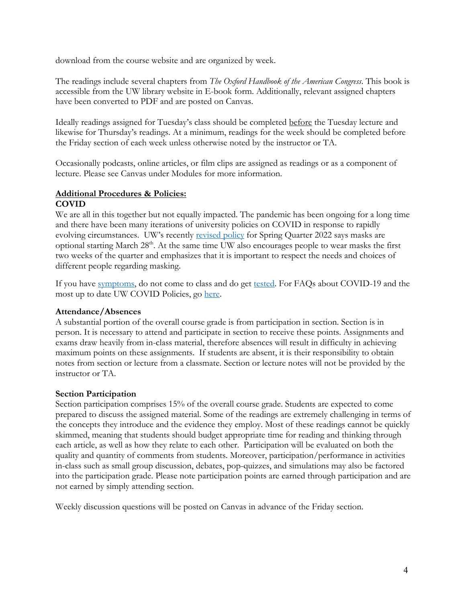download from the course website and are organized by week.

The readings include several chapters from *The Oxford Handbook of the American Congress*. This book is accessible from the UW library website in E-book form. Additionally, relevant assigned chapters have been converted to PDF and are posted on Canvas.

the Friday section of each week unless otherwise noted by the instructor or TA. Ideally readings assigned for Tuesday's class should be completed before the Tuesday lecture and likewise for Thursday's readings. At a minimum, readings for the week should be completed before

 lecture. Please see Canvas under Modules for more information. Occasionally podcasts, online articles, or film clips are assigned as readings or as a component of

# **Additional Procedures & Policies: COVID**

 We are all in this together but not equally impacted. The pandemic has been ongoing for a long time different people regarding masking. and there have been many iterations of university policies on COVID in response to rapidly evolving circumstances. UW's recently revised policy for Spring Quarter 2022 says masks are optional starting March 28<sup>th</sup>. At the same time UW also encourages people to wear masks the first two weeks of the quarter and emphasizes that it is important to respect the needs and choices of

most up to date UW COVID Policies, go here. If you have symptoms, do not come to class and do get tested. For FAQs about COVID-19 and the

# **Attendance/Absences**

 A substantial portion of the overall course grade is from participation in section. Section is in person. It is necessary to attend and participate in section to receive these points. Assignments and maximum points on these assignments. If students are absent, it is their responsibility to obtain notes from section or lecture from a classmate. Section or lecture notes will not be provided by the instructor or TA. exams draw heavily from in-class material, therefore absences will result in difficulty in achieving

# **Section Participation**

 Section participation comprises 15% of the overall course grade. Students are expected to come each article, as well as how they relate to each other. Participation will be evaluated on both the not earned by simply attending section. prepared to discuss the assigned material. Some of the readings are extremely challenging in terms of the concepts they introduce and the evidence they employ. Most of these readings cannot be quickly skimmed, meaning that students should budget appropriate time for reading and thinking through quality and quantity of comments from students. Moreover, participation/performance in activities in-class such as small group discussion, debates, pop-quizzes, and simulations may also be factored into the participation grade. Please note participation points are earned through participation and are

not earned by simply attending section. Weekly discussion questions will be posted on Canvas in advance of the Friday section.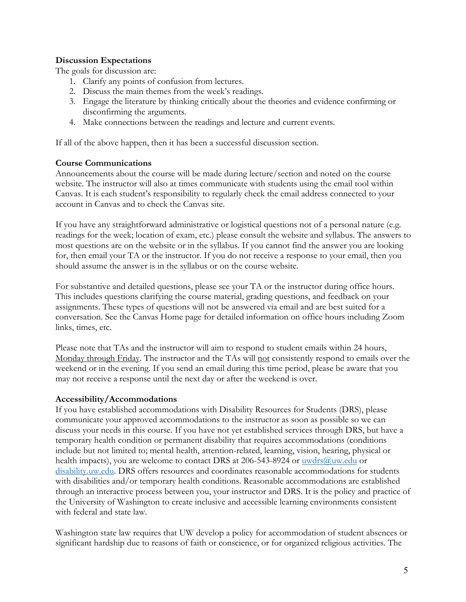# **Discussion Expectations**

The goals for discussion are:

- 1. Clarify any points of confusion from lectures.
- 2. Discuss the main themes from the week's readings.
- disconfirming the arguments. 3. Engage the literature by thinking critically about the theories and evidence confirming or
- 4. Make connections between the readings and lecture and current events.

If all of the above happen, then it has been a successful discussion section.

# **Course Communications**

 Announcements about the course will be made during lecture/section and noted on the course account in Canvas and to check the Canvas site. website. The instructor will also at times communicate with students using the email tool within Canvas. It is each student's responsibility to regularly check the email address connected to your

 readings for the week; location of exam, etc.) please consult the website and syllabus. The answers to should assume the answer is in the syllabus or on the course website. If you have any straightforward administrative or logistical questions not of a personal nature (e.g. most questions are on the website or in the syllabus. If you cannot find the answer you are looking for, then email your TA or the instructor. If you do not receive a response to your email, then you

 links, times, etc. For substantive and detailed questions, please see your TA or the instructor during office hours. This includes questions clarifying the course material, grading questions, and feedback on your assignments. These types of questions will not be answered via email and are best suited for a conversation. See the Canvas Home page for detailed information on office hours including Zoom

 Please note that TAs and the instructor will aim to respond to student emails within 24 hours, may not receive a response until the next day or after the weekend is over. Monday through Friday. The instructor and the TAs will not consistently respond to emails over the weekend or in the evening. If you send an email during this time period, please be aware that you

#### **Accessibility/Accommodations**

If you have established accommodations with Disability Resources for Students (DRS), please communicate your approved accommodations to the instructor as soon as possible so we can discuss your needs in this course. If you have not yet established services through DRS, but have a temporary health condition or permanent disability that requires accommodations (conditions include but not limited to; mental health, attention-related, learning, vision, hearing, physical or health impacts), you are welcome to contact DRS at 206-543-8924 or [uwdrs@uw.edu](mailto:uwdrs@uw.edu) or [disability.uw.edu.](https://disability.uw.edu) DRS offers resources and coordinates reasonable accommodations for students with disabilities and/or temporary health conditions. Reasonable accommodations are established through an interactive process between you, your instructor and DRS. It is the policy and practice of the University of Washington to create inclusive and accessible learning environments consistent with federal and state law.

Washington state law requires that UW develop a policy for accommodation of student absences or significant hardship due to reasons of faith or conscience, or for organized religious activities. The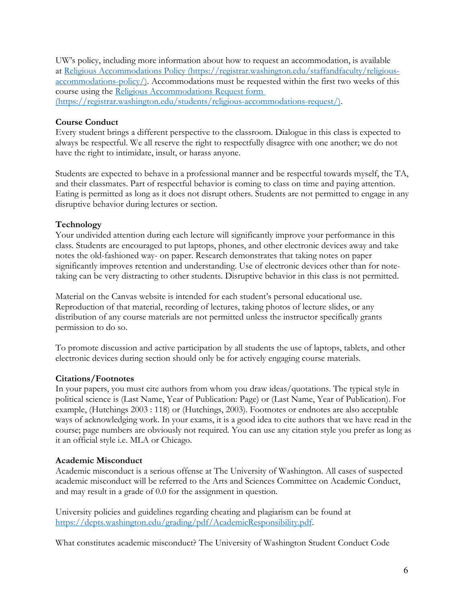UW's policy, including more information about how to request an accommodation, is available at Religious Accommodations Policy [\(https://registrar.washington.edu/staffandfaculty/religious](https://registrar.washington.edu/staffandfaculty/religious)accommodations-policy/). Accommodations must be requested within the first two weeks of this course using the Religious Accommodations Request form [\(https://registrar.washington.edu/students/religious-accommodations-request](https://registrar.washington.edu/students/religious-accommodations-request)/).

# **Course Conduct**

 have the right to intimidate, insult, or harass anyone. Every student brings a different perspective to the classroom. Dialogue in this class is expected to always be respectful. We all reserve the right to respectfully disagree with one another; we do not

 disruptive behavior during lectures or section. Students are expected to behave in a professional manner and be respectful towards myself, the TA, and their classmates. Part of respectful behavior is coming to class on time and paying attention. Eating is permitted as long as it does not disrupt others. Students are not permitted to engage in any

# **Technology**

 Your undivided attention during each lecture will significantly improve your performance in this class. Students are encouraged to put laptops, phones, and other electronic devices away and take notes the old-fashioned way- on paper. Research demonstrates that taking notes on paper significantly improves retention and understanding. Use of electronic devices other than for notetaking can be very distracting to other students. Disruptive behavior in this class is not permitted.

permission to do so. Material on the Canvas website is intended for each student's personal educational use. Reproduction of that material, recording of lectures, taking photos of lecture slides, or any distribution of any course materials are not permitted unless the instructor specifically grants

permission to do so.<br>To promote discussion and active participation by all students the use of laptops, tablets, and other electronic devices during section should only be for actively engaging course materials.

# **Citations/Footnotes**

In your papers, you must cite authors from whom you draw ideas/quotations. The typical style in political science is (Last Name, Year of Publication: Page) or (Last Name, Year of Publication). For example, (Hutchings 2003 : 118) or (Hutchings, 2003). Footnotes or endnotes are also acceptable ways of acknowledging work. In your exams, it is a good idea to cite authors that we have read in the course; page numbers are obviously not required. You can use any citation style you prefer as long as it an official style i.e. MLA or Chicago.

#### **Academic Misconduct**

and may result in a grade of 0.0 for the assignment in question. Academic misconduct is a serious offense at The University of Washington. All cases of suspected academic misconduct will be referred to the Arts and Sciences Committee on Academic Conduct,

University policies and guidelines regarding cheating and plagiarism can be found at <https://depts.washington.edu/grading/pdf/AcademicResponsibility.pdf>.

What constitutes academic misconduct? The University of Washington Student Conduct Code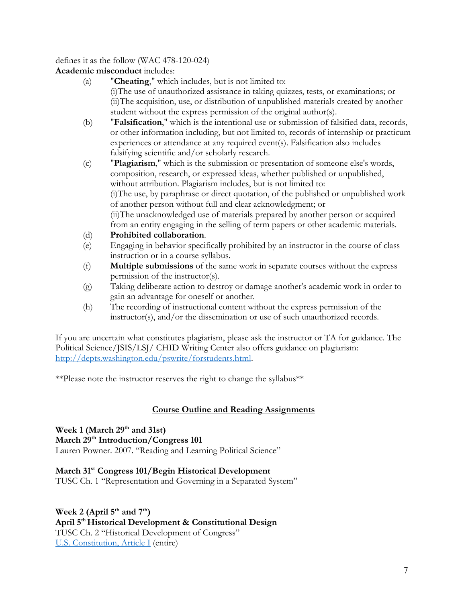defines it as the follow (WAC 478-120-024)

**Academic misconduct** includes:

- (a) "**Cheating**," which includes, but is not limited to: (i)The use of unauthorized assistance in taking quizzes, tests, or examinations; or (ii)The acquisition, use, or distribution of unpublished materials created by another student without the express permission of the original author(s).
- (b) "**Falsification**," which is the intentional use or submission of falsified data, records, or other information including, but not limited to, records of internship or practicum experiences or attendance at any required event(s). Falsification also includes falsifying scientific and/or scholarly research.
- (c) "**Plagiarism**," which is the submission or presentation of someone else's words, composition, research, or expressed ideas, whether published or unpublished, without attribution. Plagiarism includes, but is not limited to: (i)The use, by paraphrase or direct quotation, of the published or unpublished work of another person without full and clear acknowledgment; or (ii)The unacknowledged use of materials prepared by another person or acquired from an entity engaging in the selling of term papers or other academic materials.
- (d) **Prohibited collaboration**.
- (e) Engaging in behavior specifically prohibited by an instructor in the course of class instruction or in a course syllabus.
- (f) **Multiple submissions** of the same work in separate courses without the express permission of the instructor(s).
- (g) Taking deliberate action to destroy or damage another's academic work in order to gain an advantage for oneself or another.
- (h) The recording of instructional content without the express permission of the instructor(s), and/or the dissemination or use of such unauthorized records.

If you are uncertain what constitutes plagiarism, please ask the instructor or TA for guidance. The Political Science/JSIS/LSJ/ CHID Writing Center also offers guidance on plagiarism: <http://depts.washington.edu/pswrite/forstudents.html>.

\*\*Please note the instructor reserves the right to change the syllabus\*\*

# **Course Outline and Reading Assignments**

Week 1 (March 29<sup>th</sup> and 31st) **March 29th Introduction/Congress 101**  Lauren Powner. 2007. "Reading and Learning Political Science"

 **March 31st Congress 101/Begin Historical Development**  TUSC Ch. 1 "Representation and Governing in a Separated System"

Week 2 (April 5<sup>th</sup> and 7<sup>th</sup>) April 5<sup>th</sup> Historical Development & Constitutional Design TUSC Ch. 2 "Historical Development of Congress" U.S. Constitution, Article I (entire)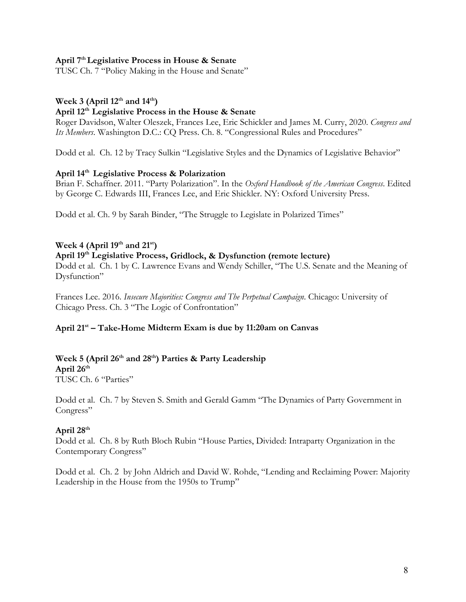## **April 7th Legislative Process in House & Senate**

TUSC Ch. 7 "Policy Making in the House and Senate"

# **Week 3 (April 12th and 14th)**

#### **April 12th Legislative Process in the House & Senate**

Roger Davidson, Walter Oleszek, Frances Lee, Eric Schickler and James M. Curry, 2020. *Congress and Its Members*. Washington D.C.: CQ Press. Ch. 8. "Congressional Rules and Procedures"

Dodd et al. Ch. 12 by Tracy Sulkin "Legislative Styles and the Dynamics of Legislative Behavior"

# **April 14th Legislative Process & Polarization**

by George C. Edwards III, Frances Lee, and Eric Shickler. NY: Oxford University Press.<br>Dodd et al. Ch. 9 by Sarah Binder, "The Struggle to Legislate in Polarized Times" Brian F. Schaffner. 2011. "Party Polarization". In the *Oxford Handbook of the American Congress*. Edited

Dodd et al. Ch. 9 by Sarah Binder, "The Struggle to Legislate in Polarized Times"

# **Week 4 (April 19th and 21st)**

#### **April 19th Legislative Process, Gridlock, & Dysfunction (remote lecture)**

Dysfunction" Dodd et al. Ch. 1 by C. Lawrence Evans and Wendy Schiller, "The U.S. Senate and the Meaning of

 Chicago Press. Ch. 3 "The Logic of Confrontation" Frances Lee. 2016. *Insecure Majorities: Congress and The Perpetual Campaign*. Chicago: University of

#### **April 21st – Take-Home Midterm Exam is due by 11:20am on Canvas**

# Week 5 (April 26<sup>th</sup> and 28<sup>th</sup>) Parties & Party Leadership

 **April 26th** 

TUSC Ch. 6 "Parties"

 Dodd et al. Ch. 7 by Steven S. Smith and Gerald Gamm "The Dynamics of Party Government in Congress"

# **April 28th**

Contemporary Congress" Dodd et al. Ch. 8 by Ruth Bloch Rubin "House Parties, Divided: Intraparty Organization in the

Contemporary Congress"<br>Dodd et al. Ch. 2 by John Aldrich and David W. Rohde, "Lending and Reclaiming Power: Majority Leadership in the House from the 1950s to Trump"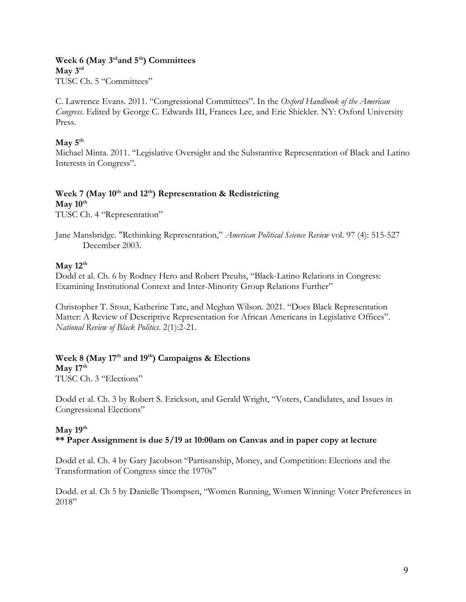# **Week 6 (May 3rdand 5th) Committees May 3rd**

 $\mathbf{M}$ ay  $3^{\text{rd}}$ TUSC Ch. 5 "Committees"

C. Lawrence Evans. 2011. "Congressional Committees". In the *Oxford Handbook of the American Congress*. Edited by George C. Edwards III, Frances Lee, and Eric Shickler. NY: Oxford University Press.

# $\mathbf{May\ 5}^{\text{th}}$

 Interests in Congress". Michael Minta. 2011. "Legislative Oversight and the Substantive Representation of Black and Latino

# Week 7 (May 10<sup>th</sup> and 12<sup>th</sup>) Representation & Redistricting

 $\mathbf{May}\,10^{\text{th}}$ 

TUSC Ch. 4 "Representation"

# $\mathbf{May} 12^{\text{th}}$

 Examining Institutional Context and Inter-Minority Group Relations Further" Dodd et al. Ch. 6 by Rodney Hero and Robert Preuhs, "Black-Latino Relations in Congress:

 Christopher T. Stout, Katherine Tate, and Meghan Wilson. 2021. "Does Black Representation Matter: A Review of Descriptive Representation for African Americans in Legislative Offices". *National Review of Black Politics*. 2(1):2-21.

# Week 8 (May 17<sup>th</sup> and 19<sup>th</sup>) Campaigns & Elections

 $\mathbf{May\ }17^{\text{th}}$ TUSC Ch. 3 "Elections"

Dodd et al. Ch. 3 by Robert S. Erickson, and Gerald Wright, "Voters, Candidates, and Issues in Congressional Elections"

#### **May 19th \*\* Paper Assignment is due 5/19 at 10:00am on Canvas and in paper copy at lecture**

 Dodd et al. Ch. 4 by Gary Jacobson "Partisanship, Money, and Competition: Elections and the Transformation of Congress since the 1970s"

 Dodd. et al. Ch 5 by Danielle Thompsen, "Women Running, Women Winning: Voter Preferences in 2018"

Jane Mansbridge. "Rethinking Representation," *American Political Science Review* vol. 97 (4): 515-527 December 2003.